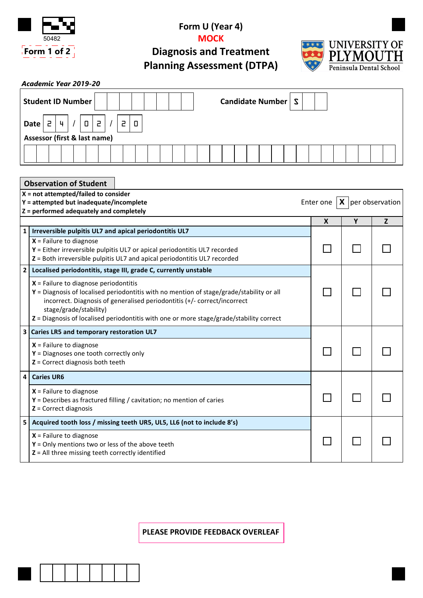

## **Form U (Year 4) MOCK**

**Diagnosis and Treatment Planning Assessment (DTPA)**



 $\Box$ 

 $\Box$ 

 $\Box$ 

 $\Box$ 

П

П

| Candidate Number   S<br><b>Student ID Number</b>                                                                                                                  |                                                                                                                                                                                                                                                                                                                                      |              |   |   |
|-------------------------------------------------------------------------------------------------------------------------------------------------------------------|--------------------------------------------------------------------------------------------------------------------------------------------------------------------------------------------------------------------------------------------------------------------------------------------------------------------------------------|--------------|---|---|
| $\overline{c}$<br>2<br>5<br>4<br>0<br>0<br>Date                                                                                                                   |                                                                                                                                                                                                                                                                                                                                      |              |   |   |
| Assessor (first & last name)                                                                                                                                      |                                                                                                                                                                                                                                                                                                                                      |              |   |   |
|                                                                                                                                                                   |                                                                                                                                                                                                                                                                                                                                      |              |   |   |
| <b>Observation of Student</b>                                                                                                                                     |                                                                                                                                                                                                                                                                                                                                      |              |   |   |
| $X = not attempted/failed to consider$<br>X<br>per observation<br>Y = attempted but inadequate/incomplete<br>Enter one<br>Z = performed adequately and completely |                                                                                                                                                                                                                                                                                                                                      |              |   |   |
|                                                                                                                                                                   |                                                                                                                                                                                                                                                                                                                                      | $\mathbf{x}$ | Y | Z |
| 1 <sup>1</sup>                                                                                                                                                    | Irreversible pulpitis UL7 and apical periodontitis UL7<br>$X =$ Failure to diagnose<br>Y = Either irreversible pulpitis UL7 or apical periodontitis UL7 recorded<br>Z = Both irreversible pulpitis UL7 and apical periodontitis UL7 recorded                                                                                         |              |   |   |
| 2 <sup>1</sup>                                                                                                                                                    | Localised periodontitis, stage III, grade C, currently unstable                                                                                                                                                                                                                                                                      |              |   |   |
|                                                                                                                                                                   | $X$ = Failure to diagnose periodontitis<br>Y = Diagnosis of localised periodontitis with no mention of stage/grade/stability or all<br>incorrect. Diagnosis of generalised periodontitis (+/- correct/incorrect<br>stage/grade/stability)<br>Z = Diagnosis of localised periodontitis with one or more stage/grade/stability correct |              |   |   |
|                                                                                                                                                                   | 3 Caries LR5 and temporary restoration UL7                                                                                                                                                                                                                                                                                           |              |   |   |
|                                                                                                                                                                   | $X$ = Failure to diagnose<br>$Y =$ Diagnoses one tooth correctly only<br>$Z =$ Correct diagnosis both teeth                                                                                                                                                                                                                          |              |   |   |
| 4                                                                                                                                                                 | <b>Caries UR6</b>                                                                                                                                                                                                                                                                                                                    |              |   |   |

**5 Acquired tooth loss / missing teeth UR5, UL5, LL6 (not to include 8's)**

**Y** = Describes as fractured filling / cavitation; no mention of caries

**Y** = Only mentions two or less of the above teeth **Z** = All three missing teeth correctly identified

**X** = Failure to diagnose

**X** = Failure to diagnose

**Z** = Correct diagnosis

**PLEASE PROVIDE FEEDBACK OVERLEAF**